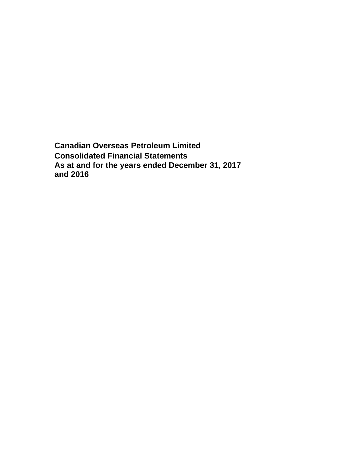**Canadian Overseas Petroleum Limited Consolidated Financial Statements As at and for the years ended December 31, 2017 and 2016**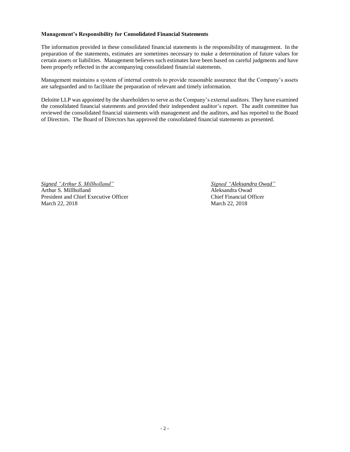### **Management's Responsibility for Consolidated Financial Statements**

The information provided in these consolidated financial statements is the responsibility of management. In the preparation of the statements, estimates are sometimes necessary to make a determination of future values for certain assets or liabilities. Management believes such estimates have been based on careful judgments and have been properly reflected in the accompanying consolidated financial statements.

Management maintains a system of internal controls to provide reasonable assurance that the Company's assets are safeguarded and to facilitate the preparation of relevant and timely information.

Deloitte LLP was appointed by the shareholders to serve as the Company's external auditors. They have examined the consolidated financial statements and provided their independent auditor's report. The audit committee has reviewed the consolidated financial statements with management and the auditors, and has reported to the Board of Directors. The Board of Directors has approved the consolidated financial statements as presented.

*Signed "Arthur S. Millholland" Signed "Aleksandra Owad"* Arthur S. Millholland Aleksandra Owad President and Chief Executive Officer Chief Financial Officer March 22, 2018 March 22, 2018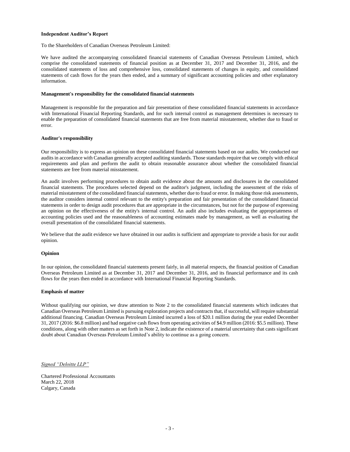#### **Independent Auditor's Report**

#### To the Shareholders of Canadian Overseas Petroleum Limited:

We have audited the accompanying consolidated financial statements of Canadian Overseas Petroleum Limited, which comprise the consolidated statements of financial position as at December 31, 2017 and December 31, 2016, and the consolidated statements of loss and comprehensive loss, consolidated statements of changes in equity, and consolidated statements of cash flows for the years then ended, and a summary of significant accounting policies and other explanatory information.

#### **Management's responsibility for the consolidated financial statements**

Management is responsible for the preparation and fair presentation of these consolidated financial statements in accordance with International Financial Reporting Standards, and for such internal control as management determines is necessary to enable the preparation of consolidated financial statements that are free from material misstatement, whether due to fraud or error.

#### **Auditor's responsibility**

Our responsibility is to express an opinion on these consolidated financial statements based on our audits. We conducted our audits in accordance with Canadian generally accepted auditing standards. Those standards require that we comply with ethical requirements and plan and perform the audit to obtain reasonable assurance about whether the consolidated financial statements are free from material misstatement.

An audit involves performing procedures to obtain audit evidence about the amounts and disclosures in the consolidated financial statements. The procedures selected depend on the auditor's judgment, including the assessment of the risks of material misstatement of the consolidated financial statements, whether due to fraud or error. In making those risk assessments, the auditor considers internal control relevant to the entity's preparation and fair presentation of the consolidated financial statements in order to design audit procedures that are appropriate in the circumstances, but not for the purpose of expressing an opinion on the effectiveness of the entity's internal control. An audit also includes evaluating the appropriateness of accounting policies used and the reasonableness of accounting estimates made by management, as well as evaluating the overall presentation of the consolidated financial statements.

We believe that the audit evidence we have obtained in our audits is sufficient and appropriate to provide a basis for our audit opinion.

#### **Opinion**

In our opinion, the consolidated financial statements present fairly, in all material respects, the financial position of Canadian Overseas Petroleum Limited as at December 31, 2017 and December 31, 2016, and its financial performance and its cash flows for the years then ended in accordance with International Financial Reporting Standards.

#### **Emphasis of matter**

Without qualifying our opinion, we draw attention to Note 2 to the consolidated financial statements which indicates that Canadian Overseas Petroleum Limited is pursuing exploration projects and contracts that, if successful, will require substantial additional financing. Canadian Overseas Petroleum Limited incurred a loss of \$20.1 million during the year ended December 31, 2017 (2016: \$6.8 million) and had negative cash flows from operating activities of \$4.9 million (2016: \$5.5 million). These conditions, along with other matters as set forth in Note 2, indicate the existence of a material uncertainty that casts significant doubt about Canadian Overseas Petroleum Limited's ability to continue as a going concern.

*Signed "Deloitte LLP"*

Chartered Professional Accountants March 22, 2018 Calgary, Canada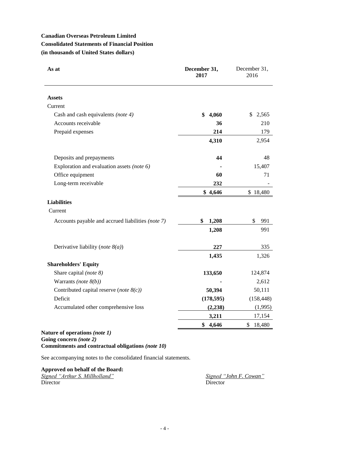# **Canadian Overseas Petroleum Limited Consolidated Statements of Financial Position (in thousands of United States dollars)**

| As at                                             | December 31,<br>2017 | December 31,<br>2016 |
|---------------------------------------------------|----------------------|----------------------|
| <b>Assets</b>                                     |                      |                      |
| Current                                           |                      |                      |
| Cash and cash equivalents (note 4)                | 4,060<br>\$          | \$<br>2,565          |
| Accounts receivable                               | 36                   | 210                  |
| Prepaid expenses                                  | 214                  | 179                  |
|                                                   | 4,310                | 2,954                |
| Deposits and prepayments                          | 44                   | 48                   |
| Exploration and evaluation assets (note 6)        |                      | 15,407               |
| Office equipment                                  | 60                   | 71                   |
| Long-term receivable                              | 232                  |                      |
|                                                   | \$4,646              | \$18,480             |
| <b>Liabilities</b>                                |                      |                      |
| Current                                           |                      |                      |
| Accounts payable and accrued liabilities (note 7) | \$<br>1,208          | \$<br>991            |
|                                                   | 1,208                | 991                  |
| Derivative liability (note $8(a)$ )               | 227                  | 335                  |
|                                                   | 1,435                | 1,326                |
| <b>Shareholders' Equity</b>                       |                      |                      |
| Share capital (note 8)                            | 133,650              | 124,874              |
| Warrants (note $8(b)$ )                           |                      | 2,612                |
| Contributed capital reserve (note $8(c)$ )        | 50,394               | 50,111               |
| Deficit                                           | (178, 595)           | (158, 448)           |
| Accumulated other comprehensive loss              | (2, 238)             | (1,995)              |
|                                                   | 3,211                | 17,154               |
|                                                   | 4,646<br>\$          | 18,480<br>\$         |

### **Nature of operations** *(note 1)* **Going concern** *(note 2)* **Commitments and contractual obligations** *(note 10)*

See accompanying notes to the consolidated financial statements.

**Approved on behalf of the Board:** *Signed "Arthur S. Millholland" Signed "John F. Cowan"* Director Director Director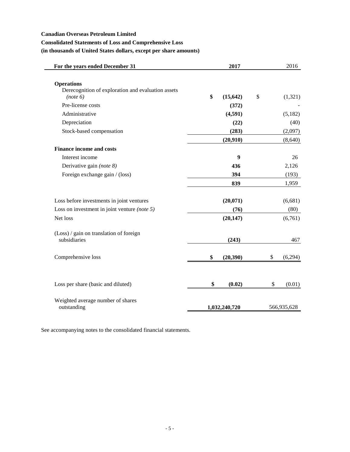### **Canadian Overseas Petroleum Limited**

## **Consolidated Statements of Loss and Comprehensive Loss**

# **(in thousands of United States dollars, except per share amounts)**

| For the years ended December 31                                | 2017             | 2016          |
|----------------------------------------------------------------|------------------|---------------|
| <b>Operations</b>                                              |                  |               |
| Derecognition of exploration and evaluation assets<br>(note 6) | \$<br>(15, 642)  | \$<br>(1,321) |
| Pre-license costs                                              | (372)            |               |
| Administrative                                                 | (4,591)          | (5,182)       |
| Depreciation                                                   | (22)             | (40)          |
| Stock-based compensation                                       | (283)            | (2,097)       |
|                                                                | (20, 910)        | (8,640)       |
| <b>Finance income and costs</b>                                |                  |               |
| Interest income                                                | $\boldsymbol{9}$ | 26            |
| Derivative gain (note 8)                                       | 436              | 2,126         |
| Foreign exchange gain / (loss)                                 | 394              | (193)         |
|                                                                | 839              | 1,959         |
| Loss before investments in joint ventures                      | (20,071)         | (6,681)       |
| Loss on investment in joint venture (note $5$ )                | (76)             | (80)          |
| Net loss                                                       | (20, 147)        | (6,761)       |
| (Loss) / gain on translation of foreign                        |                  |               |
| subsidiaries                                                   | (243)            | 467           |
| Comprehensive loss                                             | \$<br>(20, 390)  | \$<br>(6,294) |
|                                                                |                  |               |
| Loss per share (basic and diluted)                             | \$<br>(0.02)     | \$<br>(0.01)  |
| Weighted average number of shares                              |                  |               |
| outstanding                                                    | 1,032,240,720    | 566,935,628   |

See accompanying notes to the consolidated financial statements.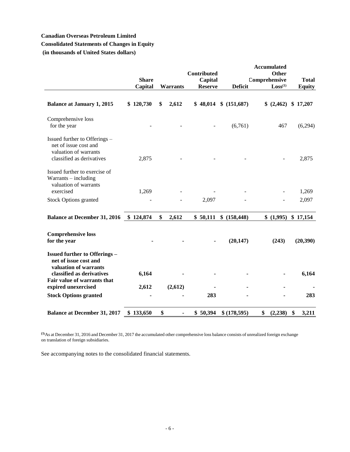## **Canadian Overseas Petroleum Limited**

# **Consolidated Statements of Changes in Equity**

**(in thousands of United States dollars)**

|                                                                                                                     | <b>Share</b><br>Capital | <b>Warrants</b> | <b>Contributed</b><br>Capital<br><b>Reserve</b> | <b>Deficit</b> | <b>Accumulated</b><br>Comprehensive | <b>Other</b><br>Loss <sup>(1)</sup> | <b>Total</b><br><b>Equity</b> |
|---------------------------------------------------------------------------------------------------------------------|-------------------------|-----------------|-------------------------------------------------|----------------|-------------------------------------|-------------------------------------|-------------------------------|
| <b>Balance at January 1, 2015</b>                                                                                   | \$120,730               | \$<br>2,612     | \$48,014                                        | \$ (151,687)   |                                     |                                     | \$ (2,462) \$ 17,207          |
| Comprehensive loss<br>for the year                                                                                  |                         |                 |                                                 | (6,761)        |                                     | 467                                 | (6,294)                       |
| Issued further to Offerings -<br>net of issue cost and<br>valuation of warrants<br>classified as derivatives        | 2,875                   |                 |                                                 |                |                                     |                                     | 2,875                         |
| Issued further to exercise of<br>Warrants - including<br>valuation of warrants<br>exercised                         | 1,269                   |                 |                                                 |                |                                     |                                     | 1,269                         |
| <b>Stock Options granted</b>                                                                                        |                         |                 | 2,097                                           |                |                                     |                                     | 2,097                         |
| Balance at December 31, 2016 \$124,874                                                                              |                         | \$<br>2,612     | \$50,111                                        | \$(158, 448)   |                                     | \$(1,995)                           | \$17,154                      |
| <b>Comprehensive loss</b><br>for the year                                                                           |                         |                 |                                                 | (20, 147)      |                                     | (243)                               | (20, 390)                     |
| <b>Issued further to Offerings -</b><br>net of issue cost and<br>valuation of warrants<br>classified as derivatives | 6,164                   |                 |                                                 |                |                                     |                                     | 6,164                         |
| Fair value of warrants that<br>expired unexercised                                                                  | 2,612                   | (2,612)         |                                                 |                |                                     |                                     |                               |
| <b>Stock Options granted</b>                                                                                        |                         |                 | 283                                             |                |                                     |                                     | 283                           |
| <b>Balance at December 31, 2017</b>                                                                                 | \$133,650               | \$              | \$50,394                                        | \$(178,595)    | \$                                  | (2, 238)                            | \$<br>3,211                   |

**(1)**As at December 31, 2016 and December 31, 2017 the accumulated other comprehensive loss balance consists of unrealized foreign exchange on translation of foreign subsidiaries.

See accompanying notes to the consolidated financial statements.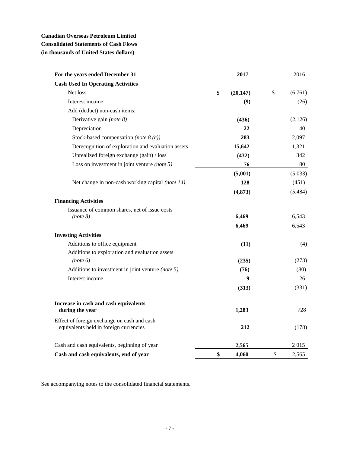# **Canadian Overseas Petroleum Limited Consolidated Statements of Cash Flows (in thousands of United States dollars)**

| For the years ended December 31                                                       | 2017            | 2016          |
|---------------------------------------------------------------------------------------|-----------------|---------------|
| <b>Cash Used In Operating Activities</b>                                              |                 |               |
| Net loss                                                                              | \$<br>(20, 147) | \$<br>(6,761) |
| Interest income                                                                       | (9)             | (26)          |
| Add (deduct) non-cash items:                                                          |                 |               |
| Derivative gain (note 8)                                                              | (436)           | (2,126)       |
| Depreciation                                                                          | 22              | 40            |
| Stock-based compensation (note $8(c)$ )                                               | 283             | 2,097         |
| Derecognition of exploration and evaluation assets                                    | 15,642          | 1,321         |
| Unrealized foreign exchange (gain) / loss                                             | (432)           | 342           |
| Loss on investment in joint venture (note $5$ )                                       | 76              | 80            |
|                                                                                       | (5,001)         | (5,033)       |
| Net change in non-cash working capital (note 14)                                      | 128             | (451)         |
|                                                                                       | (4, 873)        | (5,484)       |
| <b>Financing Activities</b>                                                           |                 |               |
| Issuance of common shares, net of issue costs                                         |                 |               |
| (note 8)                                                                              | 6,469           | 6,543         |
|                                                                                       | 6,469           | 6,543         |
| <b>Investing Activities</b>                                                           |                 |               |
| Additions to office equipment                                                         | (11)            | (4)           |
| Additions to exploration and evaluation assets<br>(note 6)                            | (235)           | (273)         |
| Additions to investment in joint venture (note $5$ )                                  | (76)            | (80)          |
| Interest income                                                                       | 9               | 26            |
|                                                                                       | (313)           | (331)         |
| Increase in cash and cash equivalents                                                 |                 | 728           |
| during the year                                                                       | 1,283           |               |
| Effect of foreign exchange on cash and cash<br>equivalents held in foreign currencies | 212             | (178)         |
| Cash and cash equivalents, beginning of year                                          | 2,565           | 2015          |
| Cash and cash equivalents, end of year                                                | \$<br>4,060     | \$<br>2,565   |

See accompanying notes to the consolidated financial statements.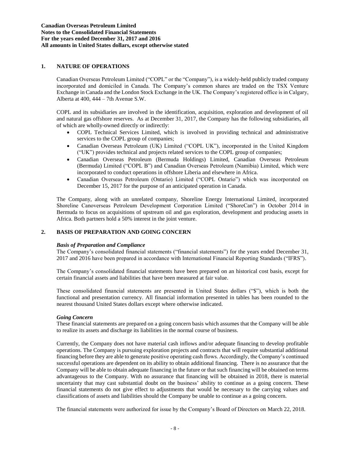### **1. NATURE OF OPERATIONS**

Canadian Overseas Petroleum Limited ("COPL" or the "Company"), is a widely-held publicly traded company incorporated and domiciled in Canada. The Company's common shares are traded on the TSX Venture Exchange in Canada and the London Stock Exchange in the UK. The Company's registered office is in Calgary, Alberta at 400, 444 – 7th Avenue S.W.

COPL and its subsidiaries are involved in the identification, acquisition, exploration and development of oil and natural gas offshore reserves. As at December 31, 2017, the Company has the following subsidiaries, all of which are wholly-owned directly or indirectly:

- COPL Technical Services Limited, which is involved in providing technical and administrative services to the COPL group of companies;
- Canadian Overseas Petroleum (UK) Limited ("COPL UK"), incorporated in the United Kingdom ("UK") provides technical and projects related services to the COPL group of companies;
- Canadian Overseas Petroleum (Bermuda Holdings) Limited, Canadian Overseas Petroleum (Bermuda) Limited ("COPL B") and Canadian Overseas Petroleum (Namibia) Limited, which were incorporated to conduct operations in offshore Liberia and elsewhere in Africa.
- Canadian Overseas Petroleum (Ontario) Limited ("COPL Ontario") which was incorporated on December 15, 2017 for the purpose of an anticipated operation in Canada.

The Company, along with an unrelated company, Shoreline Energy International Limited, incorporated Shoreline Canoverseas Petroleum Development Corporation Limited ("ShoreCan") in October 2014 in Bermuda to focus on acquisitions of upstream oil and gas exploration, development and producing assets in Africa. Both partners hold a 50% interest in the joint venture.

### **2. BASIS OF PREPARATION AND GOING CONCERN**

### *Basis of Preparation and Compliance*

The Company's consolidated financial statements ("financial statements") for the years ended December 31, 2017 and 2016 have been prepared in accordance with International Financial Reporting Standards ("IFRS").

The Company's consolidated financial statements have been prepared on an historical cost basis, except for certain financial assets and liabilities that have been measured at fair value.

These consolidated financial statements are presented in United States dollars ("\$"), which is both the functional and presentation currency. All financial information presented in tables has been rounded to the nearest thousand United States dollars except where otherwise indicated.

### *Going Concern*

These financial statements are prepared on a going concern basis which assumes that the Company will be able to realize its assets and discharge its liabilities in the normal course of business.

Currently, the Company does not have material cash inflows and/or adequate financing to develop profitable operations. The Company is pursuing exploration projects and contracts that will require substantial additional financing before they are able to generate positive operating cash flows. Accordingly, the Company's continued successful operations are dependent on its ability to obtain additional financing. There is no assurance that the Company will be able to obtain adequate financing in the future or that such financing will be obtained on terms advantageous to the Company. With no assurance that financing will be obtained in 2018, there is material uncertainty that may cast substantial doubt on the business' ability to continue as a going concern. These financial statements do not give effect to adjustments that would be necessary to the carrying values and classifications of assets and liabilities should the Company be unable to continue as a going concern.

The financial statements were authorized for issue by the Company's Board of Directors on March 22, 2018.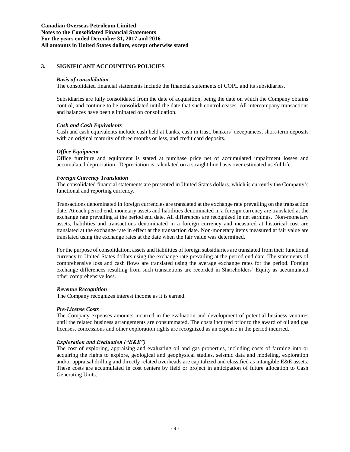# **3. SIGNIFICANT ACCOUNTING POLICIES**

#### *Basis of consolidation*

The consolidated financial statements include the financial statements of COPL and its subsidiaries.

Subsidiaries are fully consolidated from the date of acquisition, being the date on which the Company obtains control, and continue to be consolidated until the date that such control ceases. All intercompany transactions and balances have been eliminated on consolidation.

### *Cash and Cash Equivalents*

Cash and cash equivalents include cash held at banks, cash in trust, bankers' acceptances, short-term deposits with an original maturity of three months or less, and credit card deposits.

#### *Office Equipment*

Office furniture and equipment is stated at purchase price net of accumulated impairment losses and accumulated depreciation. Depreciation is calculated on a straight line basis over estimated useful life.

#### *Foreign Currency Translation*

The consolidated financial statements are presented in United States dollars, which is currently the Company's functional and reporting currency.

Transactions denominated in foreign currencies are translated at the exchange rate prevailing on the transaction date. At each period end, monetary assets and liabilities denominated in a foreign currency are translated at the exchange rate prevailing at the period end date. All differences are recognized in net earnings. Non-monetary assets, liabilities and transactions denominated in a foreign currency and measured at historical cost are translated at the exchange rate in effect at the transaction date. Non-monetary items measured at fair value are translated using the exchange rates at the date when the fair value was determined.

For the purpose of consolidation, assets and liabilities of foreign subsidiaries are translated from their functional currency to United States dollars using the exchange rate prevailing at the period end date. The statements of comprehensive loss and cash flows are translated using the average exchange rates for the period. Foreign exchange differences resulting from such transactions are recorded in Shareholders' Equity as accumulated other comprehensive loss.

#### *Revenue Recognition*

The Company recognizes interest income as it is earned.

### *Pre-License Costs*

The Company expenses amounts incurred in the evaluation and development of potential business ventures until the related business arrangements are consummated. The costs incurred prior to the award of oil and gas licenses, concessions and other exploration rights are recognized as an expense in the period incurred.

### *Exploration and Evaluation ("E&E")*

The cost of exploring, appraising and evaluating oil and gas properties, including costs of farming into or acquiring the rights to explore, geological and geophysical studies, seismic data and modeling, exploration and/or appraisal drilling and directly related overheads are capitalized and classified as intangible E&E assets. These costs are accumulated in cost centers by field or project in anticipation of future allocation to Cash Generating Units.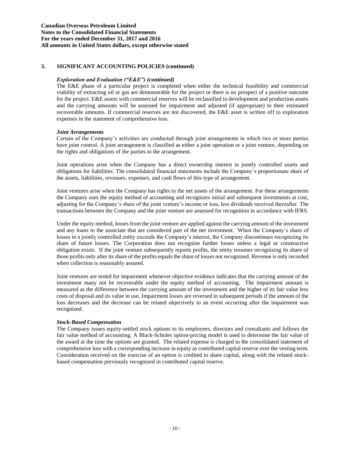#### *Exploration and Evaluation ("E&E") (continued)*

The E&E phase of a particular project is completed when either the technical feasibility and commercial viability of extracting oil or gas are demonstrable for the project or there is no prospect of a positive outcome for the project. E&E assets with commercial reserves will be reclassified to development and production assets and the carrying amounts will be assessed for impairment and adjusted (if appropriate) to their estimated recoverable amounts. If commercial reserves are not discovered, the E&E asset is written off to exploration expenses in the statement of comprehensive loss.

#### *Joint Arrangements*

Certain of the Company's activities are conducted through joint arrangements in which two or more parties have joint control. A joint arrangement is classified as either a joint operation or a joint venture, depending on the rights and obligations of the parties to the arrangement.

Joint operations arise when the Company has a direct ownership interest in jointly controlled assets and obligations for liabilities. The consolidated financial statements include the Company's proportionate share of the assets, liabilities, revenues, expenses, and cash flows of this type of arrangement.

Joint ventures arise when the Company has rights to the net assets of the arrangement. For these arrangements the Company uses the equity method of accounting and recognizes initial and subsequent investments at cost, adjusting for the Company's share of the joint venture's income or loss, less dividends received thereafter. The transactions between the Company and the joint venture are assessed for recognition in accordance with IFRS.

Under the equity method, losses from the joint venture are applied against the carrying amount of the investment and any loans to the associate that are considered part of the net investment. When the Company's share of losses in a jointly controlled entity exceeds the Company's interest, the Company discontinues recognizing its share of future losses. The Corporation does not recognize further losses unless a legal or constructive obligation exists. If the joint venture subsequently reports profits, the entity resumes recognizing its share of those profits only after its share of the profits equals the share of losses not recognized. Revenue is only recorded when collection is reasonably assured.

Joint ventures are tested for impairment whenever objective evidence indicates that the carrying amount of the investment many not be recoverable under the equity method of accounting. The impairment amount is measured as the difference between the carrying amount of the investment and the higher of its fair value less costs of disposal and its value in use. Impairment losses are reversed in subsequent periods if the amount of the loss decreases and the decrease can be related objectively to an event occurring after the impairment was recognized.

#### *Stock-Based Compensation*

The Company issues equity-settled stock options to its employees, directors and consultants and follows the fair value method of accounting. A Black-Scholes option-pricing model is used to determine the fair value of the award at the time the options are granted. The related expense is charged to the consolidated statement of comprehensive loss with a corresponding increase in equity as contributed capital reserve over the vesting term. Consideration received on the exercise of an option is credited to share capital, along with the related stockbased compensation previously recognized in contributed capital reserve.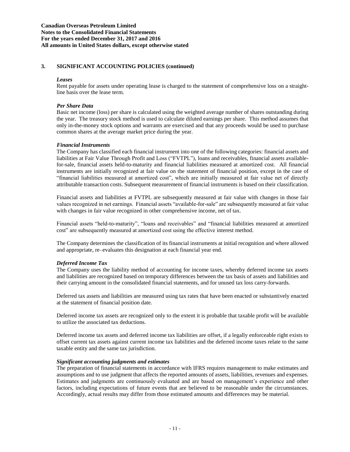#### *Leases*

Rent payable for assets under operating lease is charged to the statement of comprehensive loss on a straightline basis over the lease term.

### *Per Share Data*

Basic net income (loss) per share is calculated using the weighted average number of shares outstanding during the year. The treasury stock method is used to calculate diluted earnings per share. This method assumes that only in-the-money stock options and warrants are exercised and that any proceeds would be used to purchase common shares at the average market price during the year.

#### *Financial Instruments*

The Company has classified each financial instrument into one of the following categories: financial assets and liabilities at Fair Value Through Profit and Loss ("FVTPL"), loans and receivables, financial assets availablefor-sale, financial assets held-to-maturity and financial liabilities measured at amortized cost. All financial instruments are initially recognized at fair value on the statement of financial position, except in the case of "financial liabilities measured at amortized cost", which are initially measured at fair value net of directly attributable transaction costs. Subsequent measurement of financial instruments is based on their classification.

Financial assets and liabilities at FVTPL are subsequently measured at fair value with changes in those fair values recognized in net earnings. Financial assets "available-for-sale" are subsequently measured at fair value with changes in fair value recognized in other comprehensive income, net of tax.

Financial assets "held-to-maturity", "loans and receivables" and "financial liabilities measured at amortized cost" are subsequently measured at amortized cost using the effective interest method.

The Company determines the classification of its financial instruments at initial recognition and where allowed and appropriate, re–evaluates this designation at each financial year end.

#### *Deferred Income Tax*

The Company uses the liability method of accounting for income taxes, whereby deferred income tax assets and liabilities are recognized based on temporary differences between the tax basis of assets and liabilities and their carrying amount in the consolidated financial statements, and for unused tax loss carry-forwards.

Deferred tax assets and liabilities are measured using tax rates that have been enacted or substantively enacted at the statement of financial position date.

Deferred income tax assets are recognized only to the extent it is probable that taxable profit will be available to utilize the associated tax deductions.

Deferred income tax assets and deferred income tax liabilities are offset, if a legally enforceable right exists to offset current tax assets against current income tax liabilities and the deferred income taxes relate to the same taxable entity and the same tax jurisdiction.

#### *Significant accounting judgments and estimates*

The preparation of financial statements in accordance with IFRS requires management to make estimates and assumptions and to use judgment that affects the reported amounts of assets, liabilities, revenues and expenses. Estimates and judgments are continuously evaluated and are based on management's experience and other factors, including expectations of future events that are believed to be reasonable under the circumstances. Accordingly, actual results may differ from those estimated amounts and differences may be material.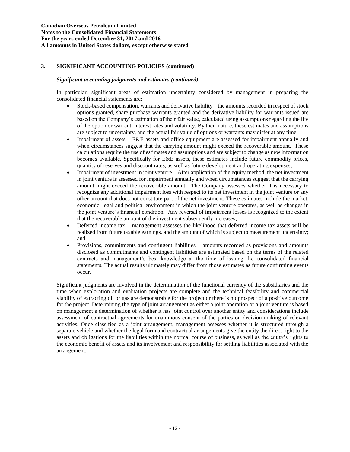#### *Significant accounting judgments and estimates (continued)*

In particular, significant areas of estimation uncertainty considered by management in preparing the consolidated financial statements are:

- Stock-based compensation, warrants and derivative liability the amounts recorded in respect of stock options granted, share purchase warrants granted and the derivative liability for warrants issued are based on the Company's estimation of their fair value, calculated using assumptions regarding the life of the option or warrant, interest rates and volatility. By their nature, these estimates and assumptions are subject to uncertainty, and the actual fair value of options or warrants may differ at any time;
- Impairment of assets E&E assets and office equipment are assessed for impairment annually and when circumstances suggest that the carrying amount might exceed the recoverable amount. These calculations require the use of estimates and assumptions and are subject to change as new information becomes available. Specifically for E&E assets, these estimates include future commodity prices, quantity of reserves and discount rates, as well as future development and operating expenses;
- Impairment of investment in joint venture After application of the equity method, the net investment in joint venture is assessed for impairment annually and when circumstances suggest that the carrying amount might exceed the recoverable amount. The Company assesses whether it is necessary to recognize any additional impairment loss with respect to its net investment in the joint venture or any other amount that does not constitute part of the net investment. These estimates include the market, economic, legal and political environment in which the joint venture operates, as well as changes in the joint venture's financial condition. Any reversal of impairment losses is recognized to the extent that the recoverable amount of the investment subsequently increases;
- Deferred income tax management assesses the likelihood that deferred income tax assets will be realized from future taxable earnings, and the amount of which is subject to measurement uncertainty; and
- Provisions, commitments and contingent liabilities amounts recorded as provisions and amounts disclosed as commitments and contingent liabilities are estimated based on the terms of the related contracts and management's best knowledge at the time of issuing the consolidated financial statements. The actual results ultimately may differ from those estimates as future confirming events occur.

Significant judgments are involved in the determination of the functional currency of the subsidiaries and the time when exploration and evaluation projects are complete and the technical feasibility and commercial viability of extracting oil or gas are demonstrable for the project or there is no prospect of a positive outcome for the project. Determining the type of joint arrangement as either a joint operation or a joint venture is based on management's determination of whether it has joint control over another entity and considerations include assessment of contractual agreements for unanimous consent of the parties on decision making of relevant activities. Once classified as a joint arrangement, management assesses whether it is structured through a separate vehicle and whether the legal form and contractual arrangements give the entity the direct right to the assets and obligations for the liabilities within the normal course of business, as well as the entity's rights to the economic benefit of assets and its involvement and responsibility for settling liabilities associated with the arrangement.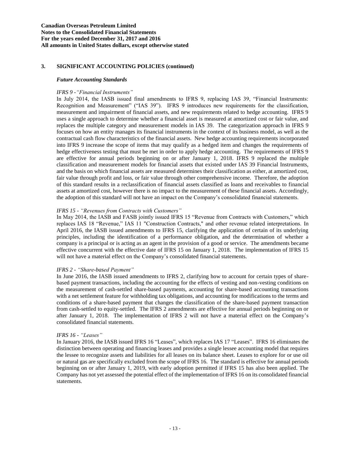#### *Future Accounting Standards*

#### *IFRS 9 -"Financial Instruments"*

In July 2014, the IASB issued final amendments to IFRS 9, replacing IAS 39, "Financial Instruments: Recognition and Measurement" ("IAS 39"). IFRS 9 introduces new requirements for the classification, measurement and impairment of financial assets, and new requirements related to hedge accounting. IFRS 9 uses a single approach to determine whether a financial asset is measured at amortized cost or fair value, and replaces the multiple category and measurement models in IAS 39. The categorization approach in IFRS 9 focuses on how an entity manages its financial instruments in the context of its business model, as well as the contractual cash flow characteristics of the financial assets. New hedge accounting requirements incorporated into IFRS 9 increase the scope of items that may qualify as a hedged item and changes the requirements of hedge effectiveness testing that must be met in order to apply hedge accounting. The requirements of IFRS 9 are effective for annual periods beginning on or after January 1, 2018. IFRS 9 replaced the multiple classification and measurement models for financial assets that existed under IAS 39 Financial Instruments, and the basis on which financial assets are measured determines their classification as either, at amortized cost, fair value through profit and loss, or fair value through other comprehensive income. Therefore, the adoption of this standard results in a reclassification of financial assets classified as loans and receivables to financial assets at amortized cost, however there is no impact to the measurement of these financial assets. Accordingly, the adoption of this standard will not have an impact on the Company's consolidated financial statements.

### *IFRS 15 - "Revenues from Contracts with Customers"*

In May 2014, the IASB and FASB jointly issued IFRS 15 "Revenue from Contracts with Customers," which replaces IAS 18 "Revenue," IAS 11 "Construction Contracts," and other revenue related interpretations. In April 2016, the IASB issued amendments to IFRS 15, clarifying the application of certain of its underlying principles, including the identification of a performance obligation, and the determination of whether a company is a principal or is acting as an agent in the provision of a good or service. The amendments became effective concurrent with the effective date of IFRS 15 on January 1, 2018. The implementation of IFRS 15 will not have a material effect on the Company's consolidated financial statements.

### *IFRS 2 - "Share-based Payment"*

In June 2016, the IASB issued amendments to IFRS 2, clarifying how to account for certain types of sharebased payment transactions, including the accounting for the effects of vesting and non-vesting conditions on the measurement of cash-settled share-based payments, accounting for share-based accounting transactions with a net settlement feature for withholding tax obligations, and accounting for modifications to the terms and conditions of a share-based payment that changes the classification of the share-based payment transaction from cash-settled to equity-settled. The IFRS 2 amendments are effective for annual periods beginning on or after January 1, 2018. The implementation of IFRS 2 will not have a material effect on the Company's consolidated financial statements.

#### *IFRS 16 - "Leases"*

In January 2016, the IASB issued IFRS 16 "Leases", which replaces IAS 17 "Leases". IFRS 16 eliminates the distinction between operating and financing leases and provides a single lessee accounting model that requires the lessee to recognize assets and liabilities for all leases on its balance sheet. Leases to explore for or use oil or natural gas are specifically excluded from the scope of IFRS 16. The standard is effective for annual periods beginning on or after January 1, 2019, with early adoption permitted if IFRS 15 has also been applied. The Company has not yet assessed the potential effect of the implementation of IFRS 16 on its consolidated financial statements.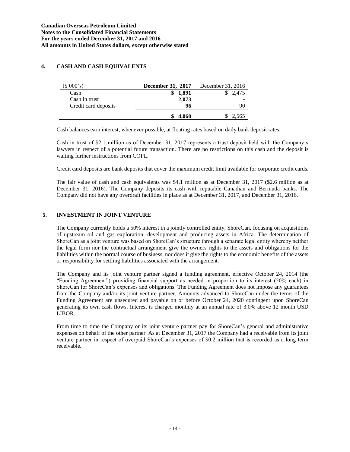## **4. CASH AND CASH EQUIVALENTS**

| (\$000's)            | December 31, 2017 | December 31, 2016 |
|----------------------|-------------------|-------------------|
| Cash                 | 1,891             | \$2,475           |
| Cash in trust        | 2,073             |                   |
| Credit card deposits | 96                | 90                |
|                      | 4,060             | \$ 2,565          |

Cash balances earn interest, whenever possible, at floating rates based on daily bank deposit rates.

Cash in trust of \$2.1 million as of December 31, 2017 represents a trust deposit held with the Company's lawyers in respect of a potential future transaction. There are no restrictions on this cash and the deposit is waiting further instructions from COPL.

Credit card deposits are bank deposits that cover the maximum credit limit available for corporate credit cards.

The fair value of cash and cash equivalents was \$4.1 million as at December 31, 2017 (\$2.6 million as at December 31, 2016). The Company deposits its cash with reputable Canadian and Bermuda banks. The Company did not have any overdraft facilities in place as at December 31, 2017, and December 31, 2016.

## **5. INVESTMENT IN JOINT VENTURE**

The Company currently holds a 50% interest in a jointly controlled entity, ShoreCan, focusing on acquisitions of upstream oil and gas exploration, development and producing assets in Africa. The determination of ShoreCan as a joint venture was based on ShoreCan's structure through a separate legal entity whereby neither the legal form nor the contractual arrangement give the owners rights to the assets and obligations for the liabilities within the normal course of business, nor does it give the rights to the economic benefits of the assets or responsibility for settling liabilities associated with the arrangement.

The Company and its joint venture partner signed a funding agreement, effective October 24, 2014 (the "Funding Agreement") providing financial support as needed in proportion to its interest (50% each) in ShoreCan for ShoreCan's expenses and obligations. The Funding Agreement does not impose any guarantees from the Company and/or its joint venture partner. Amounts advanced to ShoreCan under the terms of the Funding Agreement are unsecured and payable on or before October 24, 2020 contingent upon ShoreCan generating its own cash flows. Interest is charged monthly at an annual rate of 3.0% above 12 month USD LIBOR.

From time to time the Company or its joint venture partner pay for ShoreCan's general and administrative expenses on behalf of the other partner. As at December 31, 2017 the Company had a receivable from its joint venture partner in respect of overpaid ShoreCan's expenses of \$0.2 million that is recorded as a long term receivable.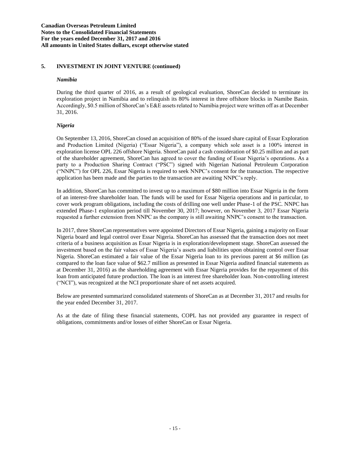## **5. INVESTMENT IN JOINT VENTURE (continued)**

#### *Namibia*

During the third quarter of 2016, as a result of geological evaluation, ShoreCan decided to terminate its exploration project in Namibia and to relinquish its 80% interest in three offshore blocks in Namibe Basin. Accordingly, \$0.5 million of ShoreCan's E&E assets related to Namibia project were written off as at December 31, 2016.

### *Nigeria*

On September 13, 2016, ShoreCan closed an acquisition of 80% of the issued share capital of Essar Exploration and Production Limited (Nigeria) ("Essar Nigeria"), a company which sole asset is a 100% interest in exploration license OPL 226 offshore Nigeria. ShoreCan paid a cash consideration of \$0.25 million and as part of the shareholder agreement, ShoreCan has agreed to cover the funding of Essar Nigeria's operations. As a party to a Production Sharing Contract ("PSC") signed with Nigerian National Petroleum Corporation ("NNPC") for OPL 226, Essar Nigeria is required to seek NNPC's consent for the transaction. The respective application has been made and the parties to the transaction are awaiting NNPC's reply.

In addition, ShoreCan has committed to invest up to a maximum of \$80 million into Essar Nigeria in the form of an interest-free shareholder loan. The funds will be used for Essar Nigeria operations and in particular, to cover work program obligations, including the costs of drilling one well under Phase-1 of the PSC. NNPC has extended Phase-1 exploration period till November 30, 2017; however, on November 3, 2017 Essar Nigeria requested a further extension from NNPC as the company is still awaiting NNPC's consent to the transaction.

In 2017, three ShoreCan representatives were appointed Directors of Essar Nigeria, gaining a majority on Essar Nigeria board and legal control over Essar Nigeria. ShoreCan has assessed that the transaction does not meet criteria of a business acquisition as Essar Nigeria is in exploration/development stage. ShoreCan assessed the investment based on the fair values of Essar Nigeria's assets and liabilities upon obtaining control over Essar Nigeria. ShoreCan estimated a fair value of the Essar Nigeria loan to its previous parent at \$6 million (as compared to the loan face value of \$62.7 million as presented in Essar Nigeria audited financial statements as at December 31, 2016) as the shareholding agreement with Essar Nigeria provides for the repayment of this loan from anticipated future production. The loan is an interest free shareholder loan. Non-controlling interest ("NCI"), was recognized at the NCI proportionate share of net assets acquired.

Below are presented summarized consolidated statements of ShoreCan as at December 31, 2017 and results for the year ended December 31, 2017.

As at the date of filing these financial statements, COPL has not provided any guarantee in respect of obligations, commitments and/or losses of either ShoreCan or Essar Nigeria.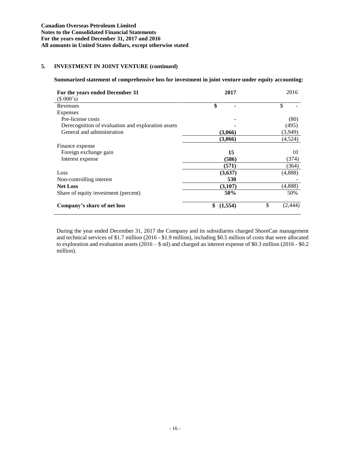## **5. INVESTMENT IN JOINT VENTURE (continued)**

### **Summarized statement of comprehensive loss for investment in joint venture under equity accounting:**

| For the years ended December 31<br>(\$000's)       | 2017           | 2016           |
|----------------------------------------------------|----------------|----------------|
| Revenues                                           | \$             | \$             |
| Expenses                                           |                |                |
| Pre-license costs                                  |                | (80)           |
| Derecognition of evaluation and exploration assets |                | (495)          |
| General and administration                         | (3,066)        | (3,949)        |
|                                                    | (3,066)        | (4,524)        |
| Finance expense                                    |                |                |
| Foreign exchange gain                              | 15             | 10             |
| Interest expense                                   | (586)          | (374)          |
|                                                    | (571)          | (364)          |
| Loss                                               | (3,637)        | (4,888)        |
| Non-controlling interest                           | 530            |                |
| <b>Net Loss</b>                                    | (3,107)        | (4,888)        |
| Share of equity investment (percent)               | 50%            | 50%            |
| Company's share of net loss                        | \$<br>(1, 554) | \$<br>(2, 444) |

During the year ended December 31, 2017 the Company and its subsidiaries charged ShoreCan management and technical services of \$1.7 million (2016 - \$1.9 million), including \$0.5 million of costs that were allocated to exploration and evaluation assets (2016 –  $\frac{1}{2}$  nil) and charged an interest expense of \$0.3 million (2016 - \$0.2) million).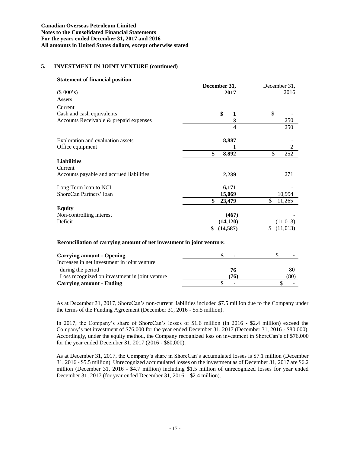### **5. INVESTMENT IN JOINT VENTURE (continued)**

| <b>Statement of financial position</b>                                |                 |                                   |
|-----------------------------------------------------------------------|-----------------|-----------------------------------|
|                                                                       | December 31,    | December 31,                      |
| (\$000's)                                                             | 2017            | 2016                              |
| <b>Assets</b>                                                         |                 |                                   |
| Current                                                               |                 |                                   |
| Cash and cash equivalents                                             | \$<br>1         | \$                                |
| Accounts Receivable & prepaid expenses                                | 3               | 250                               |
|                                                                       | 4               | 250                               |
| Exploration and evaluation assets                                     | 8,887           |                                   |
| Office equipment                                                      |                 | $\overline{2}$                    |
|                                                                       | \$<br>8,892     | $\overline{252}$<br>$\mathcal{S}$ |
| <b>Liabilities</b>                                                    |                 |                                   |
| Current                                                               |                 |                                   |
| Accounts payable and accrued liabilities                              | 2,239           | 271                               |
| Long Term loan to NCI                                                 | 6,171           |                                   |
| ShoreCan Partners' loan                                               | 15,069          | 10,994                            |
|                                                                       | \$<br>23,479    | \$<br>11,265                      |
| <b>Equity</b>                                                         |                 |                                   |
| Non-controlling interest                                              | (467)           |                                   |
| Deficit                                                               | (14, 120)       | (11,013)                          |
|                                                                       | \$<br>(14, 587) | \$<br>(11,013)                    |
| Reconciliation of carrying amount of net investment in joint venture: |                 |                                   |
|                                                                       |                 |                                   |
| <b>Carrying amount - Opening</b>                                      | \$              | \$                                |
| Increases in net investment in joint venture                          |                 |                                   |
| during the period                                                     | 76              | 80                                |
| Loss recognized on investment in joint venture                        | (76)            | (80)                              |
| <b>Carrying amount - Ending</b>                                       | \$              | \$                                |

As at December 31, 2017, ShoreCan's non-current liabilities included \$7.5 million due to the Company under the terms of the Funding Agreement (December 31, 2016 - \$5.5 million).

In 2017, the Company's share of ShoreCan's losses of \$1.6 million (in 2016 - \$2.4 million) exceed the Company's net investment of \$76,000 for the year ended December 31, 2017 (December 31, 2016 - \$80,000). Accordingly, under the equity method, the Company recognized loss on investment in ShoreCan's of \$76,000 for the year ended December 31, 2017 (2016 - \$80,000).

As at December 31, 2017, the Company's share in ShoreCan's accumulated losses is \$7.1 million (December 31, 2016 - \$5.5 million). Unrecognized accumulated losses on the investment as of December 31, 2017 are \$6.2 million (December 31, 2016 - \$4.7 million) including \$1.5 million of unrecognized losses for year ended December 31, 2017 (for year ended December 31, 2016 – \$2.4 million).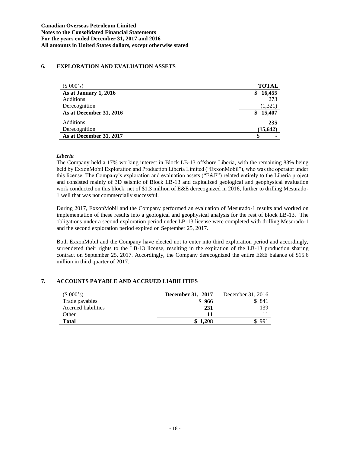## **6. EXPLORATION AND EVALUATION ASSETS**

| (\$000's)               | <b>TOTAL</b> |
|-------------------------|--------------|
| As at January 1, 2016   | 16,455<br>S. |
| Additions               | 273          |
| Derecognition           | (1,321)      |
| As at December 31, 2016 | 15,407<br>\$ |
| Additions               | 235          |
| Derecognition           | (15, 642)    |
| As at December 31, 2017 | \$           |

## *Liberia*

The Company held a 17% working interest in Block LB-13 offshore Liberia, with the remaining 83% being held by ExxonMobil Exploration and Production Liberia Limited ("ExxonMobil"), who was the operator under this license. The Company's exploration and evaluation assets ("E&E") related entirely to the Liberia project and consisted mainly of 3D seismic of Block LB-13 and capitalized geological and geophysical evaluation work conducted on this block, net of \$1.3 million of E&E derecognized in 2016, further to drilling Mesurado-1 well that was not commercially successful.

During 2017, ExxonMobil and the Company performed an evaluation of Mesurado-1 results and worked on implementation of these results into a geological and geophysical analysis for the rest of block LB-13. The obligations under a second exploration period under LB-13 license were completed with drilling Mesurado-1 and the second exploration period expired on September 25, 2017.

Both ExxonMobil and the Company have elected not to enter into third exploration period and accordingly, surrendered their rights to the LB-13 license, resulting in the expiration of the LB-13 production sharing contract on September 25, 2017. Accordingly, the Company derecognized the entire E&E balance of \$15.6 million in third quarter of 2017.

# **7. ACCOUNTS PAYABLE AND ACCRUED LIABILITIES**

| (S 000's)           | <b>December 31, 2017</b> | December 31, 2016 |
|---------------------|--------------------------|-------------------|
| Trade payables      | \$966                    | \$ 841            |
| Accrued liabilities | 231                      | 139               |
| Other               |                          |                   |
| <b>Total</b>        | \$1,208                  | -991              |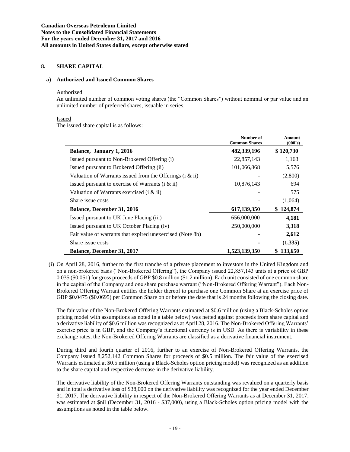### **8. SHARE CAPITAL**

#### **a) Authorized and Issued Common Shares**

#### Authorized

An unlimited number of common voting shares (the "Common Shares") without nominal or par value and an unlimited number of preferred shares, issuable in series.

#### Issued

The issued share capital is as follows:

|                                                             | Number of<br><b>Common Shares</b> | Amount<br>(000's) |
|-------------------------------------------------------------|-----------------------------------|-------------------|
| Balance, January 1, 2016                                    | 482,339,196                       | \$120,730         |
| Issued pursuant to Non-Brokered Offering (i)                | 22,857,143                        | 1,163             |
| Issued pursuant to Brokered Offering (ii)                   | 101,066,868                       | 5,576             |
| Valuation of Warrants issued from the Offerings $(i \& ii)$ |                                   | (2,800)           |
| Issued pursuant to exercise of Warrants $(i \& ii)$         | 10,876,143                        | 694               |
| Valuation of Warrants exercised $(i \& ii)$                 |                                   | 575               |
| Share issue costs                                           |                                   | (1,064)           |
| <b>Balance, December 31, 2016</b>                           | 617,139,350                       | 124,874<br>SS.    |
| Issued pursuant to UK June Placing (iii)                    | 656,000,000                       | 4,181             |
| Issued pursuant to UK October Placing (iv)                  | 250,000,000                       | 3,318             |
| Fair value of warrants that expired unexercised (Note 8b)   |                                   | 2,612             |
| Share issue costs                                           |                                   | (1,335)           |
| <b>Balance, December 31, 2017</b>                           | 1,523,139,350                     | 133,650<br>SS.    |

(i) On April 28, 2016, further to the first tranche of a private placement to investors in the United Kingdom and on a non-brokered basis ("Non-Brokered Offering"), the Company issued 22,857,143 units at a price of GBP 0.035 (\$0.051) for gross proceeds of GBP \$0.8 million (\$1.2 million). Each unit consisted of one common share in the capital of the Company and one share purchase warrant ("Non-Brokered Offering Warrant"). Each Non-Brokered Offering Warrant entitles the holder thereof to purchase one Common Share at an exercise price of GBP \$0.0475 (\$0.0695) per Common Share on or before the date that is 24 months following the closing date.

The fair value of the Non-Brokered Offering Warrants estimated at \$0.6 million (using a Black-Scholes option pricing model with assumptions as noted in a table below) was netted against proceeds from share capital and a derivative liability of \$0.6 million was recognized as at April 28, 2016. The Non-Brokered Offering Warrants' exercise price is in GBP, and the Company's functional currency is in USD. As there is variability in these exchange rates, the Non-Brokered Offering Warrants are classified as a derivative financial instrument.

During third and fourth quarter of 2016, further to an exercise of Non-Brokered Offering Warrants, the Company issued 8,252,142 Common Shares for proceeds of \$0.5 million. The fair value of the exercised Warrants estimated at \$0.5 million (using a Black-Scholes option pricing model) was recognized as an addition to the share capital and respective decrease in the derivative liability.

The derivative liability of the Non-Brokered Offering Warrants outstanding was revalued on a quarterly basis and in total a derivative loss of \$38,000 on the derivative liability was recognized for the year ended December 31, 2017. The derivative liability in respect of the Non-Brokered Offering Warrants as at December 31, 2017, was estimated at \$nil (December 31, 2016 - \$37,000), using a Black-Scholes option pricing model with the assumptions as noted in the table below.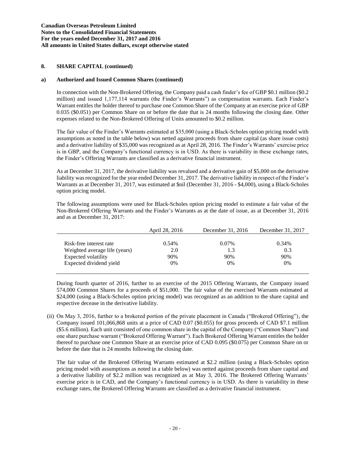#### **a) Authorized and Issued Common Shares (continued)**

In connection with the Non-Brokered Offering, the Company paid a cash finder's fee of GBP \$0.1 million (\$0.2 million) and issued 1,177,114 warrants (the Finder's Warrants") as compensation warrants. Each Finder's Warrant entitles the holder thereof to purchase one Common Share of the Company at an exercise price of GBP 0.035 (\$0.051) per Common Share on or before the date that is 24 months following the closing date. Other expenses related to the Non-Brokered Offering of Units amounted to \$0.2 million.

The fair value of the Finder's Warrants estimated at \$35,000 (using a Black-Scholes option pricing model with assumptions as noted in the table below) was netted against proceeds from share capital (as share issue costs) and a derivative liability of \$35,000 was recognized as at April 28, 2016. The Finder's Warrants' exercise price is in GBP, and the Company's functional currency is in USD. As there is variability in these exchange rates, the Finder's Offering Warrants are classified as a derivative financial instrument.

As at December 31, 2017, the derivative liability was revalued and a derivative gain of \$5,000 on the derivative liability was recognized for the year ended December 31, 2017. The derivative liability in respect of the Finder's Warrants as at December 31, 2017, was estimated at \$nil (December 31, 2016 - \$4,000), using a Black-Scholes option pricing model.

The following assumptions were used for Black-Scholes option pricing model to estimate a fair value of the Non-Brokered Offering Warrants and the Finder's Warrants as at the date of issue, as at December 31, 2016 and as at December 31, 2017:

|                               | April 28, 2016 | December 31, 2016 | December 31, 2017 |
|-------------------------------|----------------|-------------------|-------------------|
|                               |                |                   |                   |
| Risk-free interest rate       | $0.54\%$       | $0.07\%$          | 0.34%             |
| Weighted average life (years) | 2.0            | 1.3               | 0.3               |
| Expected volatility           | 90%            | 90%               | 90%               |
| Expected dividend yield       | $0\%$          | $0\%$             | $0\%$             |
|                               |                |                   |                   |

During fourth quarter of 2016, further to an exercise of the 2015 Offering Warrants, the Company issued 574,000 Common Shares for a proceeds of \$51,000. The fair value of the exercised Warrants estimated at \$24,000 (using a Black-Scholes option pricing model) was recognized as an addition to the share capital and respective decease in the derivative liability.

(ii) On May 3, 2016, further to a brokered portion of the private placement in Canada ("Brokered Offering"), the Company issued 101,066,868 units at a price of CAD 0.07 (\$0.055) for gross proceeds of CAD \$7.1 million (\$5.6 million). Each unit consisted of one common share in the capital of the Company ("Common Share") and one share purchase warrant ("Brokered Offering Warrant"). Each Brokered Offering Warrant entitles the holder thereof to purchase one Common Share at an exercise price of CAD 0.095 (\$0.075) per Common Share on or before the date that is 24 months following the closing date.

The fair value of the Brokered Offering Warrants estimated at \$2.2 million (using a Black-Scholes option pricing model with assumptions as noted in a table below) was netted against proceeds from share capital and a derivative liability of \$2.2 million was recognized as at May 3, 2016. The Brokered Offering Warrants' exercise price is in CAD, and the Company's functional currency is in USD. As there is variability in these exchange rates, the Brokered Offering Warrants are classified as a derivative financial instrument.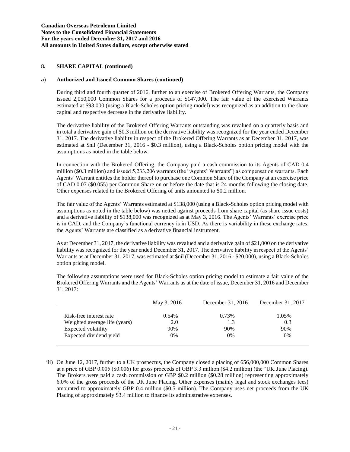#### **a) Authorized and Issued Common Shares (continued)**

During third and fourth quarter of 2016, further to an exercise of Brokered Offering Warrants, the Company issued 2,050,000 Common Shares for a proceeds of \$147,000. The fair value of the exercised Warrants estimated at \$93,000 (using a Black-Scholes option pricing model) was recognized as an addition to the share capital and respective decrease in the derivative liability.

The derivative liability of the Brokered Offering Warrants outstanding was revalued on a quarterly basis and in total a derivative gain of \$0.3 million on the derivative liability was recognized for the year ended December 31, 2017. The derivative liability in respect of the Brokered Offering Warrants as at December 31, 2017, was estimated at \$nil (December 31, 2016 - \$0.3 million), using a Black-Scholes option pricing model with the assumptions as noted in the table below.

In connection with the Brokered Offering, the Company paid a cash commission to its Agents of CAD 0.4 million (\$0.3 million) and issued 5,233,206 warrants (the "Agents' Warrants") as compensation warrants. Each Agents' Warrant entitles the holder thereof to purchase one Common Share of the Company at an exercise price of CAD 0.07 (\$0.055) per Common Share on or before the date that is 24 months following the closing date. Other expenses related to the Brokered Offering of units amounted to \$0.2 million.

The fair value of the Agents' Warrants estimated at \$138,000 (using a Black-Scholes option pricing model with assumptions as noted in the table below) was netted against proceeds from share capital (as share issue costs) and a derivative liability of \$138,000 was recognized as at May 3, 2016. The Agents' Warrants' exercise price is in CAD, and the Company's functional currency is in USD. As there is variability in these exchange rates, the Agents' Warrants are classified as a derivative financial instrument.

As at December 31, 2017, the derivative liability was revalued and a derivative gain of \$21,000 on the derivative liability was recognized for the year ended December 31, 2017. The derivative liability in respect of the Agents' Warrants as at December 31, 2017, was estimated at \$nil (December 31, 2016 - \$20,000), using a Black-Scholes option pricing model.

The following assumptions were used for Black-Scholes option pricing model to estimate a fair value of the Brokered Offering Warrants and the Agents' Warrants as at the date of issue, December 31, 2016 and December 31, 2017:

|                                                      | May 3, 2016 | December 31, 2016 | December 31, 2017 |
|------------------------------------------------------|-------------|-------------------|-------------------|
| Risk-free interest rate                              | 0.54%       |                   | 1.05%             |
|                                                      | 2.0         | 0.73%<br>1.3      | 0.3               |
| Weighted average life (years)<br>Expected volatility | 90%         | 90%               | 90%               |
| Expected dividend yield                              | $0\%$       | 0%                | 0%                |
|                                                      |             |                   |                   |

iii) On June 12, 2017, further to a UK prospectus, the Company closed a placing of 656,000,000 Common Shares at a price of GBP 0.005 (\$0.006) for gross proceeds of GBP 3.3 million (\$4.2 million) (the "UK June Placing). The Brokers were paid a cash commission of GBP \$0.2 million (\$0.28 million) representing approximately 6.0% of the gross proceeds of the UK June Placing. Other expenses (mainly legal and stock exchanges fees) amounted to approximately GBP 0.4 million (\$0.5 million). The Company uses net proceeds from the UK Placing of approximately \$3.4 million to finance its administrative expenses.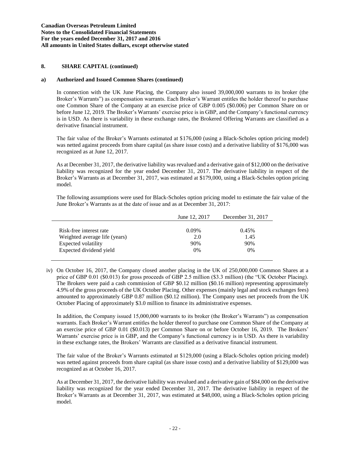#### **a) Authorized and Issued Common Shares (continued)**

In connection with the UK June Placing, the Company also issued 39,000,000 warrants to its broker (the Broker's Warrants") as compensation warrants. Each Broker's Warrant entitles the holder thereof to purchase one Common Share of the Company at an exercise price of GBP 0.005 (\$0.006) per Common Share on or before June 12, 2019. The Broker's Warrants' exercise price is in GBP, and the Company's functional currency is in USD. As there is variability in these exchange rates, the Brokered Offering Warrants are classified as a derivative financial instrument.

The fair value of the Broker's Warrants estimated at \$176,000 (using a Black-Scholes option pricing model) was netted against proceeds from share capital (as share issue costs) and a derivative liability of \$176,000 was recognized as at June 12, 2017.

As at December 31, 2017, the derivative liability was revalued and a derivative gain of \$12,000 on the derivative liability was recognized for the year ended December 31, 2017. The derivative liability in respect of the Broker's Warrants as at December 31, 2017, was estimated at \$179,000, using a Black-Scholes option pricing model.

The following assumptions were used for Black-Scholes option pricing model to estimate the fair value of the June Broker's Warrants as at the date of issue and as at December 31, 2017:

|                               | June 12, 2017 | December 31, 2017 |
|-------------------------------|---------------|-------------------|
|                               |               |                   |
| Risk-free interest rate       | 0.09%         | 0.45%             |
| Weighted average life (years) | 2.0           | 1.45              |
| Expected volatility           | 90%           | 90%               |
| Expected dividend yield       | 0%            | $0\%$             |
|                               |               |                   |

iv) On October 16, 2017, the Company closed another placing in the UK of 250,000,000 Common Shares at a price of GBP 0.01 (\$0.013) for gross proceeds of GBP 2.5 million (\$3.3 million) (the "UK October Placing). The Brokers were paid a cash commission of GBP \$0.12 million (\$0.16 million) representing approximately 4.9% of the gross proceeds of the UK October Placing. Other expenses (mainly legal and stock exchanges fees) amounted to approximately GBP 0.87 million (\$0.12 million). The Company uses net proceeds from the UK October Placing of approximately \$3.0 million to finance its administrative expenses.

In addition, the Company issued 15,000,000 warrants to its broker (the Broker's Warrants") as compensation warrants. Each Broker's Warrant entitles the holder thereof to purchase one Common Share of the Company at an exercise price of GBP 0.01 (\$0.013) per Common Share on or before October 16, 2019. The Brokers' Warrants' exercise price is in GBP, and the Company's functional currency is in USD. As there is variability in these exchange rates, the Brokers' Warrants are classified as a derivative financial instrument.

The fair value of the Broker's Warrants estimated at \$129,000 (using a Black-Scholes option pricing model) was netted against proceeds from share capital (as share issue costs) and a derivative liability of \$129,000 was recognized as at October 16, 2017.

As at December 31, 2017, the derivative liability was revalued and a derivative gain of \$84,000 on the derivative liability was recognized for the year ended December 31, 2017. The derivative liability in respect of the Broker's Warrants as at December 31, 2017, was estimated at \$48,000, using a Black-Scholes option pricing model.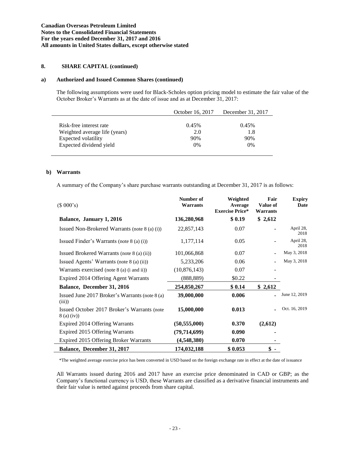#### **a) Authorized and Issued Common Shares (continued)**

The following assumptions were used for Black-Scholes option pricing model to estimate the fair value of the October Broker's Warrants as at the date of issue and as at December 31, 2017:

|                               | October 16, 2017 | December 31, 2017 |
|-------------------------------|------------------|-------------------|
|                               |                  |                   |
| Risk-free interest rate       | 0.45%            | 0.45%             |
| Weighted average life (years) | 2.0              | 1.8               |
| Expected volatility           | 90%              | 90%               |
| Expected dividend yield       | 0%               | 0%                |
|                               |                  |                   |

#### **b) Warrants**

 $\overline{a}$ 

A summary of the Company's share purchase warrants outstanding at December 31, 2017 is as follows:

| (\$000's)                                                    | Number of<br><b>Warrants</b> | Weighted<br>Average<br><b>Exercise Price*</b> | Fair<br>Value of<br>Warrants | <b>Expiry</b><br>Date |
|--------------------------------------------------------------|------------------------------|-----------------------------------------------|------------------------------|-----------------------|
| Balance, January 1, 2016                                     | 136,280,968                  | \$0.19                                        | \$2,612                      |                       |
| Issued Non-Brokered Warrants (note 8 (a) (i))                | 22,857,143                   | 0.07                                          |                              | April 28,<br>2018     |
| Issued Finder's Warrants (note 8 (a) (i))                    | 1,177,114                    | 0.05                                          |                              | April 28,<br>2018     |
| Issued Brokered Warrants (note 8 (a) (ii))                   | 101,066,868                  | 0.07                                          |                              | May 3, 2018           |
| Issued Agents' Warrants (note 8 (a) (ii))                    | 5,233,206                    | 0.06                                          |                              | May 3, 2018           |
| Warrants exercised (note 8 (a) (i and ii))                   | (10, 876, 143)               | 0.07                                          |                              |                       |
| Expired 2014 Offering Agent Warrants                         | (888, 889)                   | \$0.22                                        |                              |                       |
| Balance, December 31, 2016                                   | 254,850,267                  | \$0.14                                        | \$2,612                      |                       |
| Issued June 2017 Broker's Warrants (note 8 (a)<br>(iii)      | 39,000,000                   | 0.006                                         |                              | June 12, 2019         |
| Issued October 2017 Broker's Warrants (note<br>$8$ (a) (iv)) | 15,000,000                   | 0.013                                         |                              | Oct. 16, 2019         |
| Expired 2014 Offering Warrants                               | (50, 555, 000)               | 0.370                                         | (2,612)                      |                       |
| Expired 2015 Offering Warrants                               | (79, 714, 699)               | 0.090                                         |                              |                       |
| Expired 2015 Offering Broker Warrants                        | (4,548,380)                  | 0.070                                         |                              |                       |
| Balance, December 31, 2017                                   | 174,032,188                  | \$0.053                                       | \$-                          |                       |

\*The weighted average exercise price has been converted in USD based on the foreign exchange rate in effect at the date of issuance

All Warrants issued during 2016 and 2017 have an exercise price denominated in CAD or GBP; as the Company's functional currency is USD, these Warrants are classified as a derivative financial instruments and their fair value is netted against proceeds from share capital.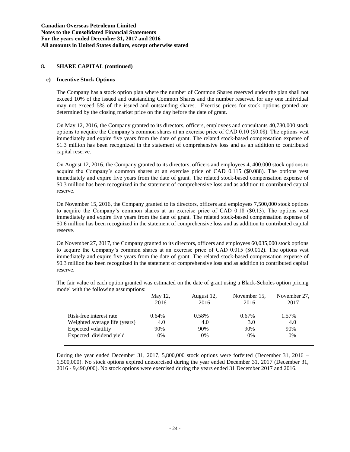#### **c) Incentive Stock Options**

The Company has a stock option plan where the number of Common Shares reserved under the plan shall not exceed 10% of the issued and outstanding Common Shares and the number reserved for any one individual may not exceed 5% of the issued and outstanding shares. Exercise prices for stock options granted are determined by the closing market price on the day before the date of grant.

On May 12, 2016, the Company granted to its directors, officers, employees and consultants 40,780,000 stock options to acquire the Company's common shares at an exercise price of CAD 0.10 (\$0.08). The options vest immediately and expire five years from the date of grant. The related stock-based compensation expense of \$1.3 million has been recognized in the statement of comprehensive loss and as an addition to contributed capital reserve.

On August 12, 2016, the Company granted to its directors, officers and employees 4, 400,000 stock options to acquire the Company's common shares at an exercise price of CAD 0.115 (\$0.088). The options vest immediately and expire five years from the date of grant. The related stock-based compensation expense of \$0.3 million has been recognized in the statement of comprehensive loss and as addition to contributed capital reserve.

On November 15, 2016, the Company granted to its directors, officers and employees 7,500,000 stock options to acquire the Company's common shares at an exercise price of CAD 0.18 (\$0.13). The options vest immediately and expire five years from the date of grant. The related stock-based compensation expense of \$0.6 million has been recognized in the statement of comprehensive loss and as addition to contributed capital reserve.

On November 27, 2017, the Company granted to its directors, officers and employees 60,035,000 stock options to acquire the Company's common shares at an exercise price of CAD 0.015 (\$0.012). The options vest immediately and expire five years from the date of grant. The related stock-based compensation expense of \$0.3 million has been recognized in the statement of comprehensive loss and as addition to contributed capital reserve.

| ັ                             | May 12,<br>2016 | August 12,<br>2016 | November 15.<br>2016 | November 27,<br>2017 |
|-------------------------------|-----------------|--------------------|----------------------|----------------------|
| Risk-free interest rate       | 0.64%           | 0.58%              | $0.67\%$             | 1.57%                |
| Weighted average life (years) | 4.0             | 4.0                | 3.0                  | 4.0                  |
| Expected volatility           | 90%             | 90%                | 90%                  | 90%                  |
| Expected dividend yield       | 0%              | 0%                 | 0%                   | 0%                   |

The fair value of each option granted was estimated on the date of grant using a Black-Scholes option pricing model with the following assumptions:

During the year ended December 31, 2017, 5,800,000 stock options were forfeited (December 31, 2016 – 1,500,000). No stock options expired unexercised during the year ended December 31, 2017 (December 31, 2016 - 9,490,000). No stock options were exercised during the years ended 31 December 2017 and 2016.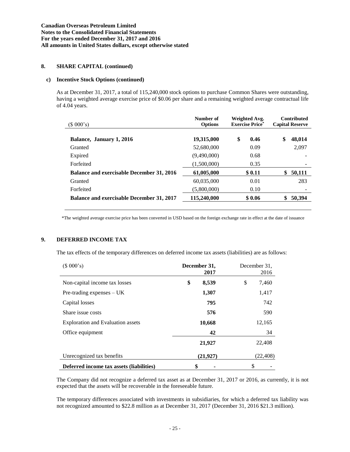#### **c) Incentive Stock Options (continued)**

As at December 31, 2017, a total of 115,240,000 stock options to purchase Common Shares were outstanding, having a weighted average exercise price of \$0.06 per share and a remaining weighted average contractual life of 4.04 years.

| (\$000's)                                        | Number of<br><b>Options</b> | Weighted Avg.<br><b>Exercise Price*</b> | <b>Contributed</b><br><b>Capital Reserve</b> |  |
|--------------------------------------------------|-----------------------------|-----------------------------------------|----------------------------------------------|--|
| Balance, January 1, 2016                         | 19,315,000                  | \$<br>0.46                              | \$<br>48,014                                 |  |
| Granted                                          | 52,680,000                  | 0.09                                    | 2,097                                        |  |
| Expired                                          | (9,490,000)                 | 0.68                                    |                                              |  |
| Forfeited                                        | (1,500,000)                 | 0.35                                    |                                              |  |
| <b>Balance and exercisable December 31, 2016</b> | 61,005,000                  | \$0.11                                  | 50,111<br>S                                  |  |
| Granted                                          | 60.035,000                  | 0.01                                    | 283                                          |  |
| Forfeited                                        | (5,800,000)                 | 0.10                                    |                                              |  |
| <b>Balance and exercisable December 31, 2017</b> | 115,240,000                 | \$0.06                                  | 50,394                                       |  |

\*The weighted average exercise price has been converted in USD based on the foreign exchange rate in effect at the date of issuance

### **9. DEFERRED INCOME TAX**

The tax effects of the temporary differences on deferred income tax assets (liabilities) are as follows:

| (\$000's)                                | December 31,<br>2017 | December 31.<br>2016 |
|------------------------------------------|----------------------|----------------------|
| Non-capital income tax losses            | \$<br>8,539          | \$<br>7,460          |
| $Pre-trading$ expenses $- UK$            | 1,307                | 1,417                |
| Capital losses                           | 795                  | 742                  |
| Share issue costs                        | 576                  | 590                  |
| <b>Exploration and Evaluation assets</b> | 10,668               | 12,165               |
| Office equipment                         | 42                   | 34                   |
|                                          | 21,927               | 22,408               |
| Unrecognized tax benefits                | (21, 927)            | (22, 408)            |
| Deferred income tax assets (liabilities) | \$<br>۰              | \$                   |

The Company did not recognize a deferred tax asset as at December 31, 2017 or 2016, as currently, it is not expected that the assets will be recoverable in the foreseeable future.

The temporary differences associated with investments in subsidiaries, for which a deferred tax liability was not recognized amounted to \$22.8 million as at December 31, 2017 (December 31, 2016 \$21.3 million).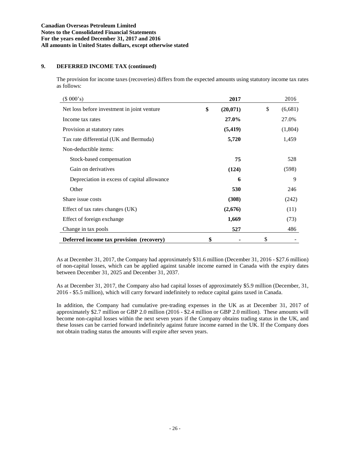# **9. DEFERRED INCOME TAX (continued)**

The provision for income taxes (recoveries) differs from the expected amounts using statutory income tax rates as follows:

| (\$000's)                                   | 2017           | 2016          |
|---------------------------------------------|----------------|---------------|
| Net loss before investment in joint venture | \$<br>(20,071) | \$<br>(6,681) |
| Income tax rates                            | 27.0%          | 27.0%         |
| Provision at statutory rates                | (5, 419)       | (1,804)       |
| Tax rate differential (UK and Bermuda)      | 5,720          | 1,459         |
| Non-deductible items:                       |                |               |
| Stock-based compensation                    | 75             | 528           |
| Gain on derivatives                         | (124)          | (598)         |
| Depreciation in excess of capital allowance | 6              | 9             |
| Other                                       | 530            | 246           |
| Share issue costs                           | (308)          | (242)         |
| Effect of tax rates changes (UK)            | (2,676)        | (11)          |
| Effect of foreign exchange                  | 1,669          | (73)          |
| Change in tax pools                         | 527            | 486           |
| Deferred income tax provision (recovery)    | \$             | \$            |

As at December 31, 2017, the Company had approximately \$31.6 million (December 31, 2016 - \$27.6 million) of non-capital losses, which can be applied against taxable income earned in Canada with the expiry dates between December 31, 2025 and December 31, 2037.

As at December 31, 2017, the Company also had capital losses of approximately \$5.9 million (December, 31, 2016 - \$5.5 million), which will carry forward indefinitely to reduce capital gains taxed in Canada.

In addition, the Company had cumulative pre-trading expenses in the UK as at December 31, 2017 of approximately \$2.7 million or GBP 2.0 million (2016 - \$2.4 million or GBP 2.0 million). These amounts will become non-capital losses within the next seven years if the Company obtains trading status in the UK, and these losses can be carried forward indefinitely against future income earned in the UK. If the Company does not obtain trading status the amounts will expire after seven years.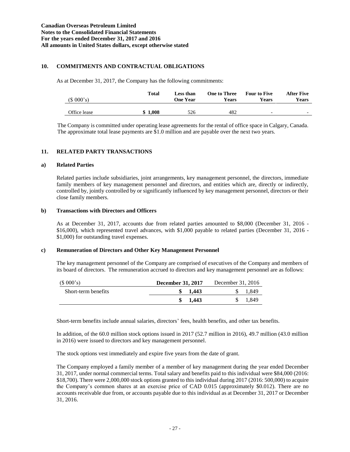## **10. COMMITMENTS AND CONTRACTUAL OBLIGATIONS**

As at December 31, 2017, the Company has the following commitments:

| (\$000's)    | Total       | <b>Less than</b><br><b>One Year</b> | <b>One to Three</b><br>Years | <b>Four to Five</b><br>Years | <b>After Five</b><br>Years |
|--------------|-------------|-------------------------------------|------------------------------|------------------------------|----------------------------|
| Office lease | 1.008<br>\$ | 526                                 | 482                          | $\overline{\phantom{a}}$     | $\overline{\phantom{0}}$   |

The Company is committed under operating lease agreements for the rental of office space in Calgary, Canada. The approximate total lease payments are \$1.0 million and are payable over the next two years.

### **11. RELATED PARTY TRANSACTIONS**

#### **a) Related Parties**

Related parties include subsidiaries, joint arrangements, key management personnel, the directors, immediate family members of key management personnel and directors, and entities which are, directly or indirectly, controlled by, jointly controlled by or significantly influenced by key management personnel, directors or their close family members.

#### **b) Transactions with Directors and Officers**

As at December 31, 2017, accounts due from related parties amounted to \$8,000 (December 31, 2016 - \$16,000), which represented travel advances, with \$1,000 payable to related parties (December 31, 2016 - \$1,000) for outstanding travel expenses.

#### **c) Remuneration of Directors and Other Key Management Personnel**

The key management personnel of the Company are comprised of executives of the Company and members of its board of directors. The remuneration accrued to directors and key management personnel are as follows:

| (\$000's)           | <b>December 31, 2017</b> | December 31, 2016 |
|---------------------|--------------------------|-------------------|
| Short-term benefits | 1.443                    | 1.849             |
|                     | 1.443                    | 1.849             |

Short-term benefits include annual salaries, directors' fees, health benefits, and other tax benefits.

In addition, of the 60.0 million stock options issued in 2017 (52.7 million in 2016), 49.7 million (43.0 million in 2016) were issued to directors and key management personnel.

The stock options vest immediately and expire five years from the date of grant.

The Company employed a family member of a member of key management during the year ended December 31, 2017, under normal commercial terms. Total salary and benefits paid to this individual were \$84,000 (2016: \$18,700). There were 2,000,000 stock options granted to this individual during 2017 (2016: 500,000) to acquire the Company's common shares at an exercise price of CAD 0.015 (approximately \$0.012). There are no accounts receivable due from, or accounts payable due to this individual as at December 31, 2017 or December 31, 2016.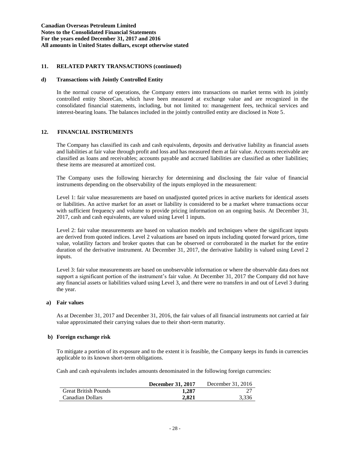### **11. RELATED PARTY TRANSACTIONS (continued)**

#### **d) Transactions with Jointly Controlled Entity**

In the normal course of operations, the Company enters into transactions on market terms with its jointly controlled entity ShoreCan, which have been measured at exchange value and are recognized in the consolidated financial statements, including, but not limited to: management fees, technical services and interest-bearing loans. The balances included in the jointly controlled entity are disclosed in Note 5.

#### **12. FINANCIAL INSTRUMENTS**

The Company has classified its cash and cash equivalents, deposits and derivative liability as financial assets and liabilities at fair value through profit and loss and has measured them at fair value. Accounts receivable are classified as loans and receivables; accounts payable and accrued liabilities are classified as other liabilities; these items are measured at amortized cost.

The Company uses the following hierarchy for determining and disclosing the fair value of financial instruments depending on the observability of the inputs employed in the measurement:

Level 1: fair value measurements are based on unadjusted quoted prices in active markets for identical assets or liabilities. An active market for an asset or liability is considered to be a market where transactions occur with sufficient frequency and volume to provide pricing information on an ongoing basis. At December 31, 2017, cash and cash equivalents, are valued using Level 1 inputs.

Level 2: fair value measurements are based on valuation models and techniques where the significant inputs are derived from quoted indices. Level 2 valuations are based on inputs including quoted forward prices, time value, volatility factors and broker quotes that can be observed or corroborated in the market for the entire duration of the derivative instrument. At December 31, 2017, the derivative liability is valued using Level 2 inputs.

Level 3: fair value measurements are based on unobservable information or where the observable data does not support a significant portion of the instrument's fair value. At December 31, 2017 the Company did not have any financial assets or liabilities valued using Level 3, and there were no transfers in and out of Level 3 during the year.

#### **a) Fair values**

As at December 31, 2017 and December 31, 2016, the fair values of all financial instruments not carried at fair value approximated their carrying values due to their short-term maturity.

#### **b) Foreign exchange risk**

To mitigate a portion of its exposure and to the extent it is feasible, the Company keeps its funds in currencies applicable to its known short-term obligations.

Cash and cash equivalents includes amounts denominated in the following foreign currencies:

|                             | <b>December 31, 2017</b> | December 31, 2016 |
|-----------------------------|--------------------------|-------------------|
| <b>Great British Pounds</b> | 1.287                    |                   |
| Canadian Dollars            | 2.821                    | 3.336             |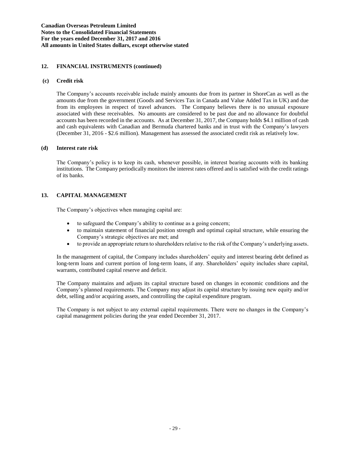### **12. FINANCIAL INSTRUMENTS (continued)**

#### **(c) Credit risk**

The Company's accounts receivable include mainly amounts due from its partner in ShoreCan as well as the amounts due from the government (Goods and Services Tax in Canada and Value Added Tax in UK) and due from its employees in respect of travel advances. The Company believes there is no unusual exposure associated with these receivables. No amounts are considered to be past due and no allowance for doubtful accounts has been recorded in the accounts. As at December 31, 2017, the Company holds \$4.1 million of cash and cash equivalents with Canadian and Bermuda chartered banks and in trust with the Company's lawyers (December 31, 2016 - \$2.6 million). Management has assessed the associated credit risk as relatively low.

#### **(d) Interest rate risk**

The Company's policy is to keep its cash, whenever possible, in interest bearing accounts with its banking institutions. The Company periodically monitors the interest rates offered and is satisfied with the credit ratings of its banks.

#### **13. CAPITAL MANAGEMENT**

The Company's objectives when managing capital are:

- to safeguard the Company's ability to continue as a going concern;
- to maintain statement of financial position strength and optimal capital structure, while ensuring the Company's strategic objectives are met; and
- to provide an appropriate return to shareholders relative to the risk of the Company's underlying assets.

In the management of capital, the Company includes shareholders' equity and interest bearing debt defined as long-term loans and current portion of long-term loans, if any. Shareholders' equity includes share capital, warrants, contributed capital reserve and deficit.

The Company maintains and adjusts its capital structure based on changes in economic conditions and the Company's planned requirements. The Company may adjust its capital structure by issuing new equity and/or debt, selling and/or acquiring assets, and controlling the capital expenditure program.

The Company is not subject to any external capital requirements. There were no changes in the Company's capital management policies during the year ended December 31, 2017.